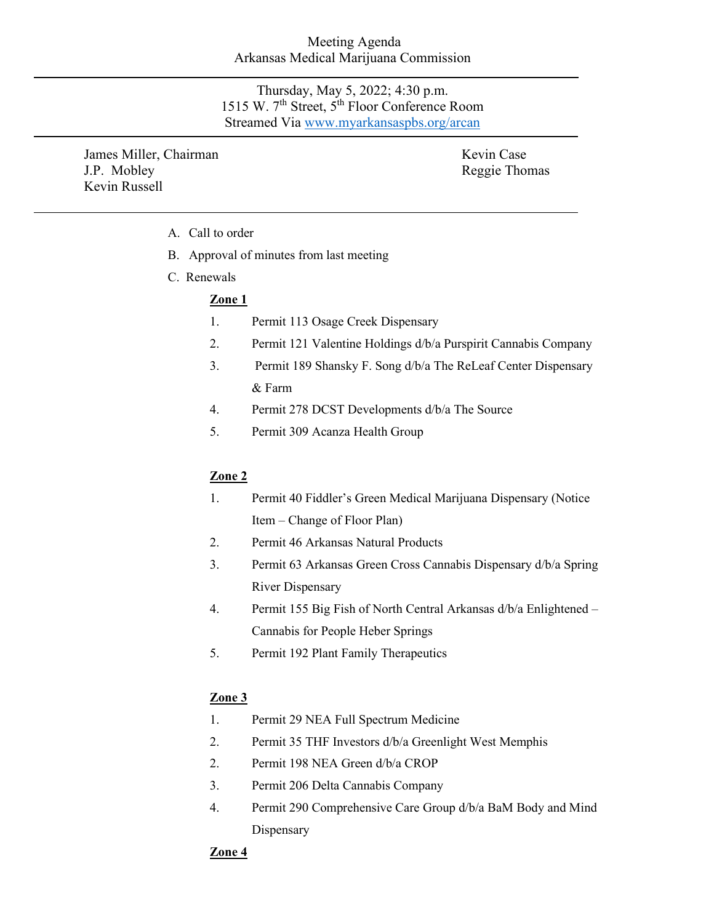## Meeting Agenda Arkansas Medical Marijuana Commission

Thursday, May 5, 2022; 4:30 p.m. 1515 W. 7th Street, 5th Floor Conference Room Streamed Via [www.myarkansaspbs.org/arcan](http://www.myarkansaspbs.org/arcan)

James Miller, Chairman J.P. Mobley Kevin Russell

Kevin Case Reggie Thomas

- A. Call to order
- B. Approval of minutes from last meeting
- C. Renewals

# **Zone 1**

- 1. Permit 113 Osage Creek Dispensary
- 2. Permit 121 Valentine Holdings d/b/a Purspirit Cannabis Company
- 3. Permit 189 Shansky F. Song d/b/a The ReLeaf Center Dispensary & Farm
- 4. Permit 278 DCST Developments d/b/a The Source
- 5. Permit 309 Acanza Health Group

# **Zone 2**

- 1. Permit 40 Fiddler's Green Medical Marijuana Dispensary (Notice Item – Change of Floor Plan)
- 2. Permit 46 Arkansas Natural Products
- 3. Permit 63 Arkansas Green Cross Cannabis Dispensary d/b/a Spring River Dispensary
- 4. Permit 155 Big Fish of North Central Arkansas d/b/a Enlightened Cannabis for People Heber Springs
- 5. Permit 192 Plant Family Therapeutics

# **Zone 3**

- 1. Permit 29 NEA Full Spectrum Medicine
- 2. Permit 35 THF Investors d/b/a Greenlight West Memphis
- 2. Permit 198 NEA Green d/b/a CROP
- 3. Permit 206 Delta Cannabis Company
- 4. Permit 290 Comprehensive Care Group d/b/a BaM Body and Mind Dispensary

# **Zone 4**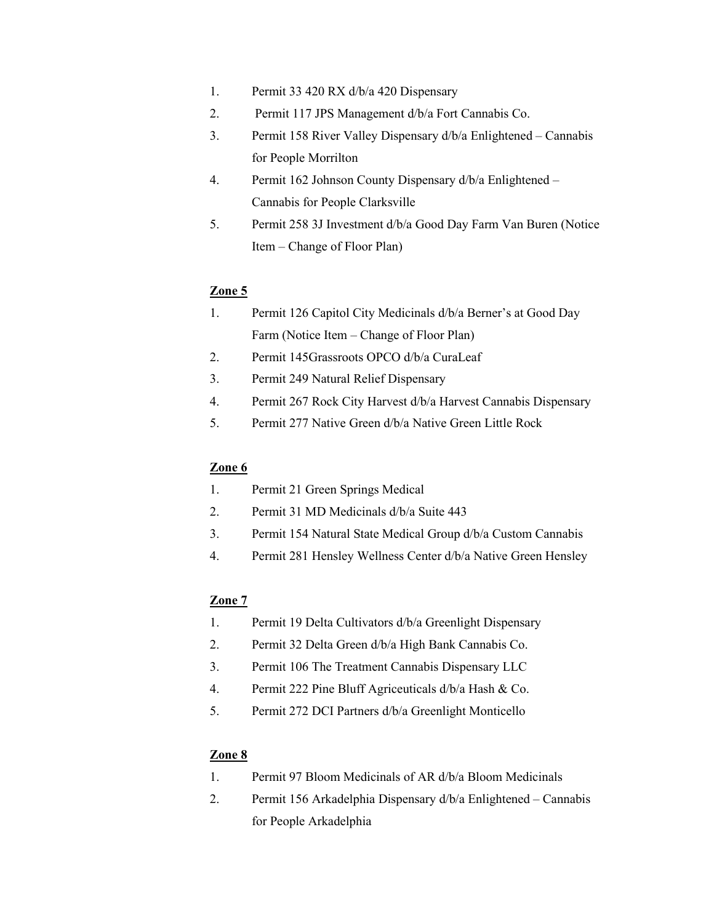- 1. Permit 33 420 RX d/b/a 420 Dispensary
- 2. Permit 117 JPS Management d/b/a Fort Cannabis Co.
- 3. Permit 158 River Valley Dispensary d/b/a Enlightened Cannabis for People Morrilton
- 4. Permit 162 Johnson County Dispensary d/b/a Enlightened Cannabis for People Clarksville
- 5. Permit 258 3J Investment d/b/a Good Day Farm Van Buren (Notice Item – Change of Floor Plan)

## **Zone 5**

- 1. Permit 126 Capitol City Medicinals d/b/a Berner's at Good Day Farm (Notice Item – Change of Floor Plan)
- 2. Permit 145Grassroots OPCO d/b/a CuraLeaf
- 3. Permit 249 Natural Relief Dispensary
- 4. Permit 267 Rock City Harvest d/b/a Harvest Cannabis Dispensary
- 5. Permit 277 Native Green d/b/a Native Green Little Rock

## **Zone 6**

- 1. Permit 21 Green Springs Medical
- 2. Permit 31 MD Medicinals d/b/a Suite 443
- 3. Permit 154 Natural State Medical Group d/b/a Custom Cannabis
- 4. Permit 281 Hensley Wellness Center d/b/a Native Green Hensley

#### **Zone 7**

- 1. Permit 19 Delta Cultivators d/b/a Greenlight Dispensary
- 2. Permit 32 Delta Green d/b/a High Bank Cannabis Co.
- 3. Permit 106 The Treatment Cannabis Dispensary LLC
- 4. Permit 222 Pine Bluff Agriceuticals d/b/a Hash & Co.
- 5. Permit 272 DCI Partners d/b/a Greenlight Monticello

#### **Zone 8**

- 1. Permit 97 Bloom Medicinals of AR d/b/a Bloom Medicinals
- 2. Permit 156 Arkadelphia Dispensary d/b/a Enlightened Cannabis for People Arkadelphia